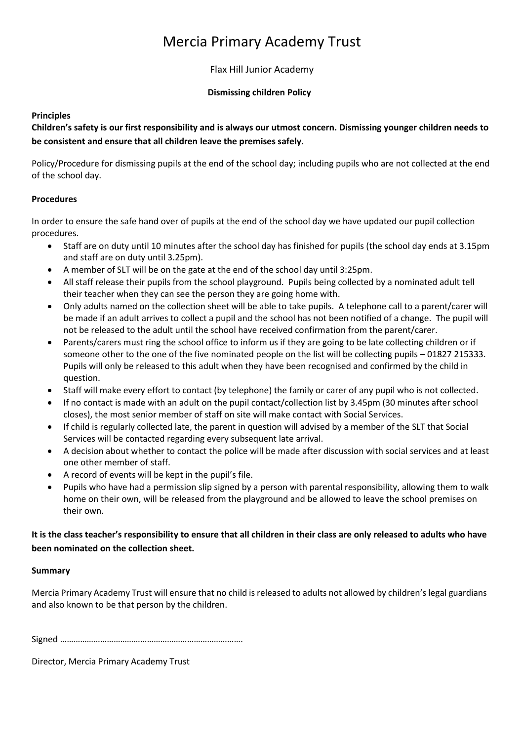# Mercia Primary Academy Trust

Flax Hill Junior Academy

#### **Dismissing children Policy**

### **Principles**

**Children's safety is our first responsibility and is always our utmost concern. Dismissing younger children needs to be consistent and ensure that all children leave the premises safely.**

Policy/Procedure for dismissing pupils at the end of the school day; including pupils who are not collected at the end of the school day.

## **Procedures**

In order to ensure the safe hand over of pupils at the end of the school day we have updated our pupil collection procedures.

- Staff are on duty until 10 minutes after the school day has finished for pupils (the school day ends at 3.15pm and staff are on duty until 3.25pm).
- A member of SLT will be on the gate at the end of the school day until 3:25pm.
- All staff release their pupils from the school playground. Pupils being collected by a nominated adult tell their teacher when they can see the person they are going home with.
- Only adults named on the collection sheet will be able to take pupils. A telephone call to a parent/carer will be made if an adult arrives to collect a pupil and the school has not been notified of a change. The pupil will not be released to the adult until the school have received confirmation from the parent/carer.
- Parents/carers must ring the school office to inform us if they are going to be late collecting children or if someone other to the one of the five nominated people on the list will be collecting pupils – 01827 215333. Pupils will only be released to this adult when they have been recognised and confirmed by the child in question.
- Staff will make every effort to contact (by telephone) the family or carer of any pupil who is not collected.
- If no contact is made with an adult on the pupil contact/collection list by 3.45pm (30 minutes after school closes), the most senior member of staff on site will make contact with Social Services.
- If child is regularly collected late, the parent in question will advised by a member of the SLT that Social Services will be contacted regarding every subsequent late arrival.
- A decision about whether to contact the police will be made after discussion with social services and at least one other member of staff.
- A record of events will be kept in the pupil's file.
- Pupils who have had a permission slip signed by a person with parental responsibility, allowing them to walk home on their own, will be released from the playground and be allowed to leave the school premises on their own.

## **It is the class teacher's responsibility to ensure that all children in their class are only released to adults who have been nominated on the collection sheet.**

#### **Summary**

Mercia Primary Academy Trust will ensure that no child is released to adults not allowed by children's legal guardians and also known to be that person by the children.

Signed ……………………………………………………………………….

Director, Mercia Primary Academy Trust